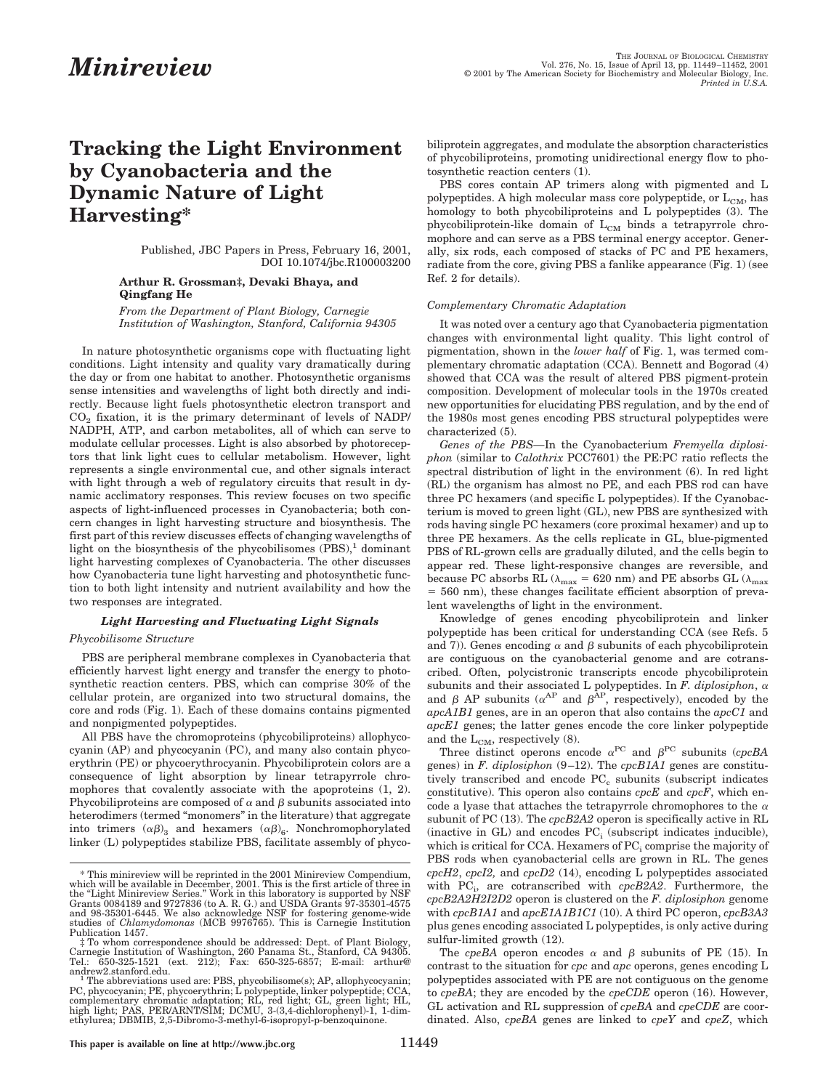# **Tracking the Light Environment by Cyanobacteria and the Dynamic Nature of Light Harvesting\***

Published, JBC Papers in Press, February 16, 2001, DOI 10.1074/jbc.R100003200

## **Arthur R. Grossman‡, Devaki Bhaya, and Qingfang He**

*From the Department of Plant Biology, Carnegie Institution of Washington, Stanford, California 94305*

In nature photosynthetic organisms cope with fluctuating light conditions. Light intensity and quality vary dramatically during the day or from one habitat to another. Photosynthetic organisms sense intensities and wavelengths of light both directly and indirectly. Because light fuels photosynthetic electron transport and  $CO<sub>2</sub>$  fixation, it is the primary determinant of levels of NADP/ NADPH, ATP, and carbon metabolites, all of which can serve to modulate cellular processes. Light is also absorbed by photoreceptors that link light cues to cellular metabolism. However, light represents a single environmental cue, and other signals interact with light through a web of regulatory circuits that result in dynamic acclimatory responses. This review focuses on two specific aspects of light-influenced processes in Cyanobacteria; both concern changes in light harvesting structure and biosynthesis. The first part of this review discusses effects of changing wavelengths of light on the biosynthesis of the phycobilisomes  $(PBS)^1$  dominant light harvesting complexes of Cyanobacteria. The other discusses how Cyanobacteria tune light harvesting and photosynthetic function to both light intensity and nutrient availability and how the two responses are integrated.

## *Light Harvesting and Fluctuating Light Signals*

### *Phycobilisome Structure*

PBS are peripheral membrane complexes in Cyanobacteria that efficiently harvest light energy and transfer the energy to photosynthetic reaction centers. PBS, which can comprise 30% of the cellular protein, are organized into two structural domains, the core and rods (Fig. 1). Each of these domains contains pigmented and nonpigmented polypeptides.

All PBS have the chromoproteins (phycobiliproteins) allophycocyanin (AP) and phycocyanin (PC), and many also contain phycoerythrin (PE) or phycoerythrocyanin. Phycobiliprotein colors are a consequence of light absorption by linear tetrapyrrole chromophores that covalently associate with the apoproteins (1, 2). Phycobiliproteins are composed of  $\alpha$  and  $\beta$  subunits associated into heterodimers (termed "monomers" in the literature) that aggregate into trimers  $(\alpha \beta)_3$  and hexamers  $(\alpha \beta)_6$ . Nonchromophorylated linker (L) polypeptides stabilize PBS, facilitate assembly of phycobiliprotein aggregates, and modulate the absorption characteristics of phycobiliproteins, promoting unidirectional energy flow to photosynthetic reaction centers (1).

PBS cores contain AP trimers along with pigmented and L polypeptides. A high molecular mass core polypeptide, or  $L_{CM}$ , has homology to both phycobiliproteins and L polypeptides (3). The phycobiliprotein-like domain of  $L_{CM}$  binds a tetrapyrrole chromophore and can serve as a PBS terminal energy acceptor. Generally, six rods, each composed of stacks of PC and PE hexamers, radiate from the core, giving PBS a fanlike appearance (Fig. 1) (see Ref. 2 for details).

#### *Complementary Chromatic Adaptation*

It was noted over a century ago that Cyanobacteria pigmentation changes with environmental light quality. This light control of pigmentation, shown in the *lower half* of Fig. 1, was termed complementary chromatic adaptation (CCA). Bennett and Bogorad (4) showed that CCA was the result of altered PBS pigment-protein composition. Development of molecular tools in the 1970s created new opportunities for elucidating PBS regulation, and by the end of the 1980s most genes encoding PBS structural polypeptides were characterized (5).

*Genes of the PBS—*In the Cyanobacterium *Fremyella diplosiphon* (similar to *Calothrix* PCC7601) the PE:PC ratio reflects the spectral distribution of light in the environment (6). In red light (RL) the organism has almost no PE, and each PBS rod can have three PC hexamers (and specific L polypeptides). If the Cyanobacterium is moved to green light (GL), new PBS are synthesized with rods having single PC hexamers (core proximal hexamer) and up to three PE hexamers. As the cells replicate in GL, blue-pigmented PBS of RL-grown cells are gradually diluted, and the cells begin to appear red. These light-responsive changes are reversible, and because PC absorbs RL ( $\lambda_{\text{max}}$  = 620 nm) and PE absorbs GL ( $\lambda_{\text{max}}$ )  $=$  560 nm), these changes facilitate efficient absorption of prevalent wavelengths of light in the environment.

Knowledge of genes encoding phycobiliprotein and linker polypeptide has been critical for understanding CCA (see Refs. 5 and 7)). Genes encoding  $\alpha$  and  $\beta$  subunits of each phycobiliprotein are contiguous on the cyanobacterial genome and are cotranscribed. Often, polycistronic transcripts encode phycobiliprotein subunits and their associated L polypeptides. In *F. diplosiphon*,  $\alpha$  and  $\beta$  AP subunits ( $\alpha^{AP}$  and  $\beta^{AP}$ , respectively), encoded by the *apcA1B1* genes, are in an operon that also contains the *apcC1* and *apcE1* genes; the latter genes encode the core linker polypeptide and the  $\rm L_{CM}$  , respectively (8).

Three distinct operons encode  $\alpha^{PC}$  and  $\beta^{PC}$  subunits (*cpcBA* genes) in *F. diplosiphon* (9–12). The *cpcB1A1* genes are constitutively transcribed and encode  $PC<sub>c</sub>$  subunits (subscript indicates constitutive). This operon also contains *cpcE* and *cpcF*, which encode a lyase that attaches the tetrapyrrole chromophores to the  $\alpha$ subunit of PC (13). The *cpcB2A2* operon is specifically active in RL (inactive in  $GL$ ) and encodes  $PC_i$  (subscript indicates inducible), which is critical for CCA. Hexamers of  $PC<sub>i</sub>$  comprise the majority of PBS rods when cyanobacterial cells are grown in RL. The genes *cpcH2*, *cpcI2,* and *cpcD2* (14), encoding L polypeptides associated with PC<sub>i</sub>, are cotranscribed with *cpcB2A2*. Furthermore, the *cpcB2A2H2I2D2* operon is clustered on the *F. diplosiphon* genome with *cpcB1A1* and *apcE1A1B1C1* (10). A third PC operon, *cpcB3A3* plus genes encoding associated L polypeptides, is only active during sulfur-limited growth (12).

The *cpeBA* operon encodes  $\alpha$  and  $\beta$  subunits of PE (15). In contrast to the situation for *cpc* and *apc* operons, genes encoding L polypeptides associated with PE are not contiguous on the genome to *cpeBA*; they are encoded by the *cpeCDE* operon (16). However, GL activation and RL suppression of *cpeBA* and *cpeCDE* are coordinated. Also, *cpeBA* genes are linked to *cpeY* and *cpeZ*, which

<sup>\*</sup> This minireview will be reprinted in the 2001 Minireview Compendium, which will be available in December, 2001. This is the first article of three in the "Light Minireview Series." Work in this laboratory is supported by NSF<br>Grants 0084189 and 9727836 (to A. R. G.) and USDA Grants 97-35301-4575<br>and 98-35301-6445. We also acknowledge NSF for fostering genome-wide studies of *Chlamydomonas* (MCB 9976765). This is Carnegie Institution Publication 1457.

<sup>‡</sup> To whom correspondence should be addressed: Dept. of Plant Biology, Carnegie Institution of Washington, 260 Panama St., Stanford, CA 94305. Tel.: 650-325-1521 (ext. 212); Fax: 650-325-6857; E-mail: arthur@

andrew2.stanford.edu.<br><sup>1</sup> The abbreviations used are: PBS, phycobilisome(s); AP, allophycocyanin;<br>PC, phycocyanin; PE, phycoerythrin; L polypeptide, linker polypeptide; CCA,<br>complementary chromatic adaptation; RL, red ligh high light; PAS, PER/ARNT/SIM; DCMU, 3-(3,4-dichlorophenyl)-1, 1<br>ethylurea; DBMIB, 2,5-Dibromo-3-methyl-6-isopropyl-p-benzoquinone.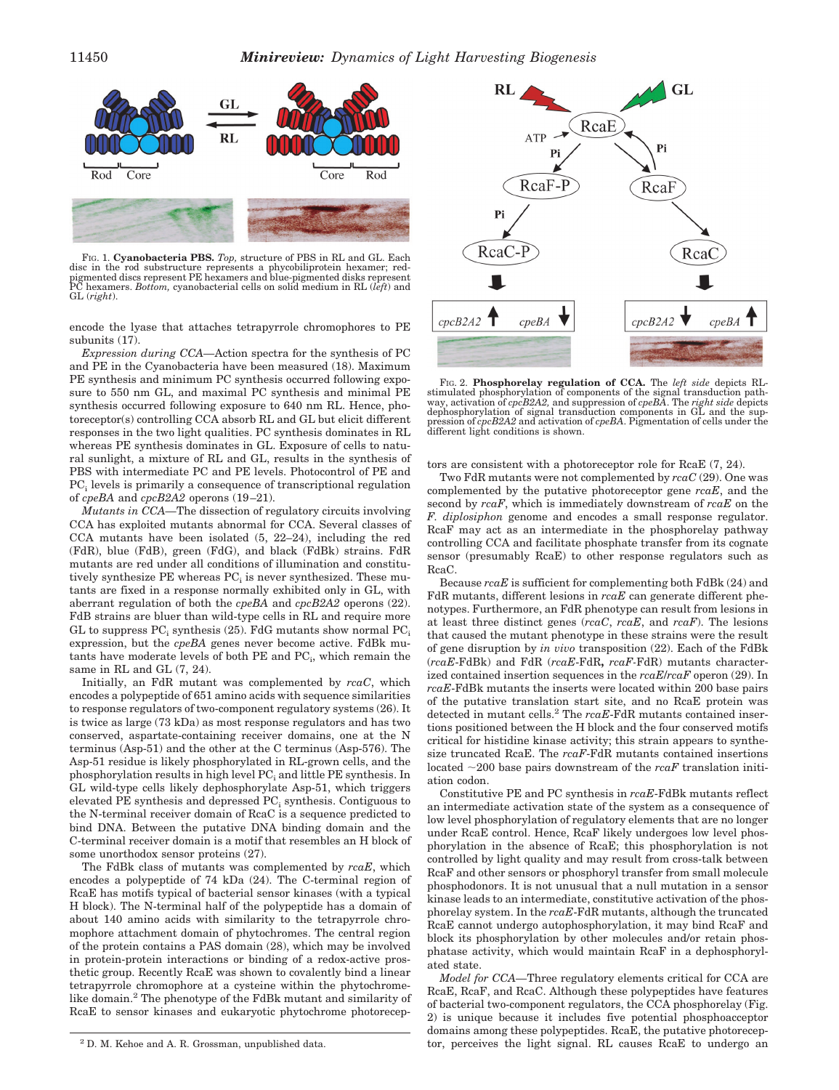

FIG. 1. **Cyanobacteria PBS.** *Top,* structure of PBS in RL and GL. Each disc in the rod substructure represents a phycobiliprotein hexamer; redpigmented discs represent PE hexamers and blue-pigmented disks represent PC hexamers. *Bottom,* cyanobacterial cells on solid medium in RL (*left*) and GL (*right*).

encode the lyase that attaches tetrapyrrole chromophores to PE subunits (17).

*Expression during CCA—*Action spectra for the synthesis of PC and PE in the Cyanobacteria have been measured (18). Maximum PE synthesis and minimum PC synthesis occurred following exposure to 550 nm GL, and maximal PC synthesis and minimal PE synthesis occurred following exposure to 640 nm RL. Hence, photoreceptor(s) controlling CCA absorb RL and GL but elicit different responses in the two light qualities. PC synthesis dominates in RL whereas PE synthesis dominates in GL. Exposure of cells to natural sunlight, a mixture of RL and GL, results in the synthesis of PBS with intermediate PC and PE levels. Photocontrol of PE and  $PC<sub>i</sub>$  levels is primarily a consequence of transcriptional regulation of *cpeBA* and *cpcB2A2* operons (19–21).

*Mutants in CCA—*The dissection of regulatory circuits involving CCA has exploited mutants abnormal for CCA. Several classes of CCA mutants have been isolated (5, 22–24), including the red (FdR), blue (FdB), green (FdG), and black (FdBk) strains. FdR mutants are red under all conditions of illumination and constitutively synthesize  $PE$  whereas  $PC<sub>i</sub>$  is never synthesized. These mutants are fixed in a response normally exhibited only in GL, with aberrant regulation of both the *cpeBA* and *cpcB2A2* operons (22). FdB strains are bluer than wild-type cells in RL and require more GL to suppress  $PC_i$  synthesis (25). FdG mutants show normal  $PC_i$ expression, but the *cpeBA* genes never become active. FdBk mu $t$ ants have moderate levels of both PE and PC<sub>i</sub>, which remain the same in RL and GL (7, 24).

Initially, an FdR mutant was complemented by *rcaC*, which encodes a polypeptide of 651 amino acids with sequence similarities to response regulators of two-component regulatory systems (26). It is twice as large (73 kDa) as most response regulators and has two conserved, aspartate-containing receiver domains, one at the N terminus (Asp-51) and the other at the C terminus (Asp-576). The Asp-51 residue is likely phosphorylated in RL-grown cells, and the phosphorylation results in high level  $PC_i$  and little  $PE$  synthesis. In GL wild-type cells likely dephosphorylate Asp-51, which triggers elevated PE synthesis and depressed PC<sub>i</sub> synthesis. Contiguous to the N-terminal receiver domain of RcaC is a sequence predicted to bind DNA. Between the putative DNA binding domain and the C-terminal receiver domain is a motif that resembles an H block of some unorthodox sensor proteins (27).

The FdBk class of mutants was complemented by *rcaE*, which encodes a polypeptide of 74 kDa (24). The C-terminal region of RcaE has motifs typical of bacterial sensor kinases (with a typical H block). The N-terminal half of the polypeptide has a domain of about 140 amino acids with similarity to the tetrapyrrole chromophore attachment domain of phytochromes. The central region of the protein contains a PAS domain (28), which may be involved in protein-protein interactions or binding of a redox-active prosthetic group. Recently RcaE was shown to covalently bind a linear tetrapyrrole chromophore at a cysteine within the phytochromelike domain.<sup>2</sup> The phenotype of the FdBk mutant and similarity of RcaE to sensor kinases and eukaryotic phytochrome photorecep-





FIG. 2. **Phosphorelay regulation of CCA.** The *left side* depicts RLstimulated phosphorylation of components of the signal transduction path-<br>way, activation of  $cpcB2A2$ , and suppression of  $cpeBA$ . The *right side* depicts<br>dephosphorylation of signal transduction components in GL and the s

tors are consistent with a photoreceptor role for RcaE (7, 24).

Two FdR mutants were not complemented by *rcaC* (29). One was complemented by the putative photoreceptor gene *rcaE*, and the second by *rcaF*, which is immediately downstream of *rcaE* on the *F. diplosiphon* genome and encodes a small response regulator. RcaF may act as an intermediate in the phosphorelay pathway controlling CCA and facilitate phosphate transfer from its cognate sensor (presumably RcaE) to other response regulators such as RcaC.

Because *rcaE* is sufficient for complementing both FdBk (24) and FdR mutants, different lesions in *rcaE* can generate different phenotypes. Furthermore, an FdR phenotype can result from lesions in at least three distinct genes (*rcaC*, *rcaE*, and *rcaF*). The lesions that caused the mutant phenotype in these strains were the result of gene disruption by *in vivo* transposition (22). Each of the FdBk (*rcaE*-FdBk) and FdR (*rcaE*-FdR**,** *rcaF-*FdR) mutants characterized contained insertion sequences in the *rcaE*/*rcaF* operon (29). In *rcaE*-FdBk mutants the inserts were located within 200 base pairs of the putative translation start site, and no RcaE protein was detected in mutant cells.2 The *rcaE*-FdR mutants contained insertions positioned between the H block and the four conserved motifs critical for histidine kinase activity; this strain appears to synthesize truncated RcaE. The *rcaF*-FdR mutants contained insertions located  $\sim$ 200 base pairs downstream of the *rcaF* translation initiation codon.

Constitutive PE and PC synthesis in *rcaE*-FdBk mutants reflect an intermediate activation state of the system as a consequence of low level phosphorylation of regulatory elements that are no longer under RcaE control. Hence, RcaF likely undergoes low level phosphorylation in the absence of RcaE; this phosphorylation is not controlled by light quality and may result from cross-talk between RcaF and other sensors or phosphoryl transfer from small molecule phosphodonors. It is not unusual that a null mutation in a sensor kinase leads to an intermediate, constitutive activation of the phosphorelay system. In the *rcaE*-FdR mutants, although the truncated RcaE cannot undergo autophosphorylation, it may bind RcaF and block its phosphorylation by other molecules and/or retain phosphatase activity, which would maintain RcaF in a dephosphorylated state.

*Model for CCA—*Three regulatory elements critical for CCA are RcaE, RcaF, and RcaC. Although these polypeptides have features of bacterial two-component regulators, the CCA phosphorelay (Fig. 2) is unique because it includes five potential phosphoacceptor domains among these polypeptides. RcaE, the putative photorecep-<sup>2</sup> D. M. Kehoe and A. R. Grossman, unpublished data. The receives the light signal. RL causes RcaE to undergo an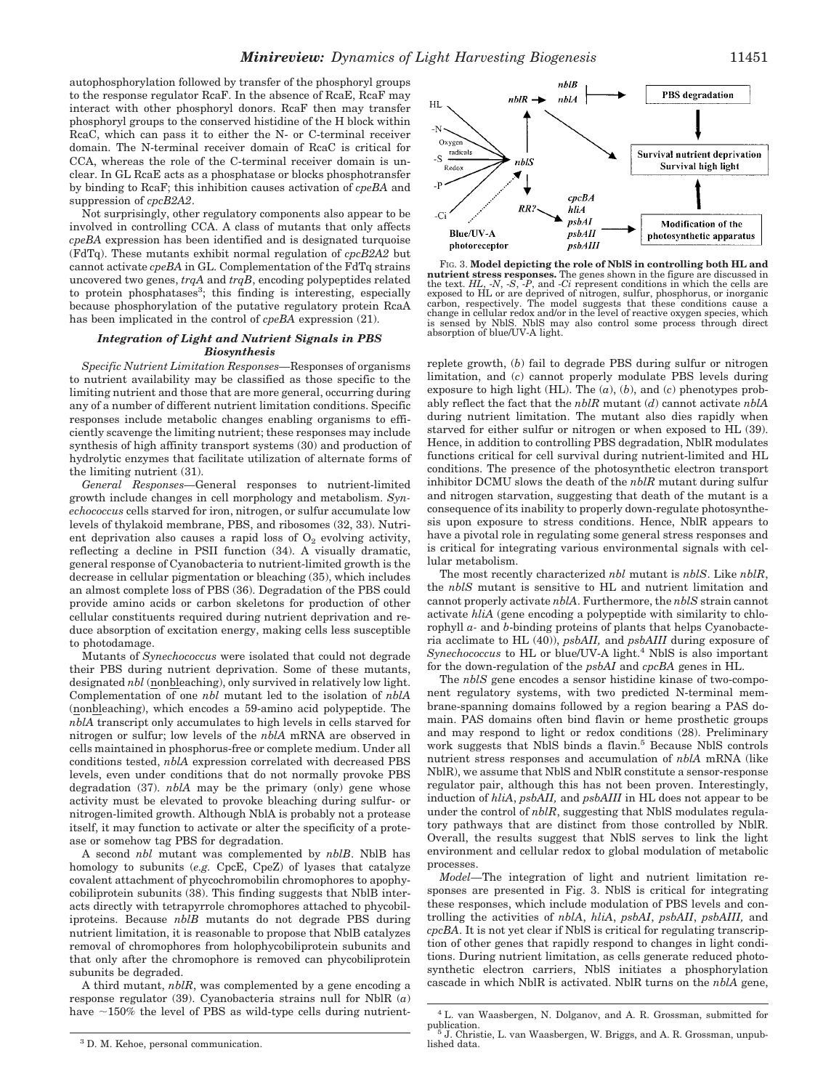autophosphorylation followed by transfer of the phosphoryl groups to the response regulator RcaF. In the absence of RcaE, RcaF may interact with other phosphoryl donors. RcaF then may transfer phosphoryl groups to the conserved histidine of the H block within RcaC, which can pass it to either the N- or C-terminal receiver domain. The N-terminal receiver domain of RcaC is critical for CCA, whereas the role of the C-terminal receiver domain is unclear. In GL RcaE acts as a phosphatase or blocks phosphotransfer by binding to RcaF; this inhibition causes activation of *cpeBA* and suppression of *cpcB2A2*.

Not surprisingly, other regulatory components also appear to be involved in controlling CCA. A class of mutants that only affects *cpeBA* expression has been identified and is designated turquoise (FdTq). These mutants exhibit normal regulation of *cpcB2A2* but cannot activate *cpeBA* in GL. Complementation of the FdTq strains uncovered two genes, *trqA* and *trqB*, encoding polypeptides related to protein phosphatases<sup>3</sup>; this finding is interesting, especially because phosphorylation of the putative regulatory protein RcaA has been implicated in the control of *cpeBA* expression (21).

## *Integration of Light and Nutrient Signals in PBS Biosynthesis*

*Specific Nutrient Limitation Responses—*Responses of organisms to nutrient availability may be classified as those specific to the limiting nutrient and those that are more general, occurring during any of a number of different nutrient limitation conditions. Specific responses include metabolic changes enabling organisms to efficiently scavenge the limiting nutrient; these responses may include synthesis of high affinity transport systems (30) and production of hydrolytic enzymes that facilitate utilization of alternate forms of the limiting nutrient (31).

*General Responses—*General responses to nutrient-limited growth include changes in cell morphology and metabolism. *Synechococcus* cells starved for iron, nitrogen, or sulfur accumulate low levels of thylakoid membrane, PBS, and ribosomes (32, 33). Nutrient deprivation also causes a rapid loss of  $O_2$  evolving activity, reflecting a decline in PSII function (34). A visually dramatic, general response of Cyanobacteria to nutrient-limited growth is the decrease in cellular pigmentation or bleaching (35), which includes an almost complete loss of PBS (36). Degradation of the PBS could provide amino acids or carbon skeletons for production of other cellular constituents required during nutrient deprivation and reduce absorption of excitation energy, making cells less susceptible to photodamage.

Mutants of *Synechococcus* were isolated that could not degrade their PBS during nutrient deprivation. Some of these mutants, designated *nbl* (nonbleaching), only survived in relatively low light. Complementation of one *nbl* mutant led to the isolation of *nblA* (nonbleaching), which encodes a 59-amino acid polypeptide. The *nblA* transcript only accumulates to high levels in cells starved for nitrogen or sulfur; low levels of the *nblA* mRNA are observed in cells maintained in phosphorus-free or complete medium. Under all conditions tested, *nblA* expression correlated with decreased PBS levels, even under conditions that do not normally provoke PBS degradation (37). *nblA* may be the primary (only) gene whose activity must be elevated to provoke bleaching during sulfur- or nitrogen-limited growth. Although NblA is probably not a protease itself, it may function to activate or alter the specificity of a protease or somehow tag PBS for degradation.

A second *nbl* mutant was complemented by *nblB*. NblB has homology to subunits (*e.g.* CpcE, CpeZ) of lyases that catalyze covalent attachment of phycochromobilin chromophores to apophycobiliprotein subunits (38). This finding suggests that NblB interacts directly with tetrapyrrole chromophores attached to phycobiliproteins. Because *nblB* mutants do not degrade PBS during nutrient limitation, it is reasonable to propose that NblB catalyzes removal of chromophores from holophycobiliprotein subunits and that only after the chromophore is removed can phycobiliprotein subunits be degraded.

A third mutant, *nblR*, was complemented by a gene encoding a response regulator (39). Cyanobacteria strains null for NblR (*a*) have  $\sim$ 150% the level of PBS as wild-type cells during nutrient-

<sup>3</sup> D. M. Kehoe, personal communication.



FIG. 3. **Model depicting the role of NblS in controlling both HL and nutrient stress responses.** The genes shown in the figure are discussed in the text. *HL*, -*N*, -*S*, -*P*, and -*Ci* represent conditions in which the cells are exposed to HL or are deprived of nitrogen, sulfur, phosphorus, or inorganic<br>carbon, respectively. The model suggests that these conditions cause a<br>change in cellular redox and/or in the level of reactive oxygen species, wh is sensed by NblS. NblS may also control some process through direct absorption of blue/UV-A light.

replete growth, (*b*) fail to degrade PBS during sulfur or nitrogen limitation, and (*c*) cannot properly modulate PBS levels during exposure to high light (HL). The (*a*), (*b*), and (*c*) phenotypes probably reflect the fact that the *nblR* mutant (*d*) cannot activate *nblA* during nutrient limitation. The mutant also dies rapidly when starved for either sulfur or nitrogen or when exposed to HL (39). Hence, in addition to controlling PBS degradation, NblR modulates functions critical for cell survival during nutrient-limited and HL conditions. The presence of the photosynthetic electron transport inhibitor DCMU slows the death of the *nblR* mutant during sulfur and nitrogen starvation, suggesting that death of the mutant is a consequence of its inability to properly down-regulate photosynthesis upon exposure to stress conditions. Hence, NblR appears to have a pivotal role in regulating some general stress responses and is critical for integrating various environmental signals with cellular metabolism.

The most recently characterized *nbl* mutant is *nblS*. Like *nblR*, the *nblS* mutant is sensitive to HL and nutrient limitation and cannot properly activate *nblA*. Furthermore, the *nblS* strain cannot activate *hliA* (gene encoding a polypeptide with similarity to chlorophyll *a-* and *b*-binding proteins of plants that helps Cyanobacteria acclimate to HL (40)), *psbAII,* and *psbAIII* during exposure of *Synechococcus* to HL or blue/UV-A light.4 NblS is also important for the down-regulation of the *psbAI* and *cpcBA* genes in HL.

The *nblS* gene encodes a sensor histidine kinase of two-component regulatory systems, with two predicted N-terminal membrane-spanning domains followed by a region bearing a PAS domain. PAS domains often bind flavin or heme prosthetic groups and may respond to light or redox conditions (28). Preliminary work suggests that NblS binds a flavin.<sup>5</sup> Because NblS controls nutrient stress responses and accumulation of *nblA* mRNA (like NblR), we assume that NblS and NblR constitute a sensor-response regulator pair, although this has not been proven. Interestingly, induction of *hliA*, *psbAII,* and *psbAIII* in HL does not appear to be under the control of *nblR*, suggesting that NblS modulates regulatory pathways that are distinct from those controlled by NblR. Overall, the results suggest that NblS serves to link the light environment and cellular redox to global modulation of metabolic processes.

*Model—*The integration of light and nutrient limitation responses are presented in Fig. 3. NblS is critical for integrating these responses, which include modulation of PBS levels and controlling the activities of *nblA*, *hliA*, *psbAI*, *psbAII*, *psbAIII,* and *cpcBA*. It is not yet clear if NblS is critical for regulating transcription of other genes that rapidly respond to changes in light conditions. During nutrient limitation, as cells generate reduced photosynthetic electron carriers, NblS initiates a phosphorylation cascade in which NblR is activated. NblR turns on the *nblA* gene,

<sup>4</sup> L. van Waasbergen, N. Dolganov, and A. R. Grossman, submitted for

publication.  $\overline{\phantom{a}}^5$  J. Christie, L. van Waasbergen, W. Briggs, and A. R. Grossman, unpublished data.